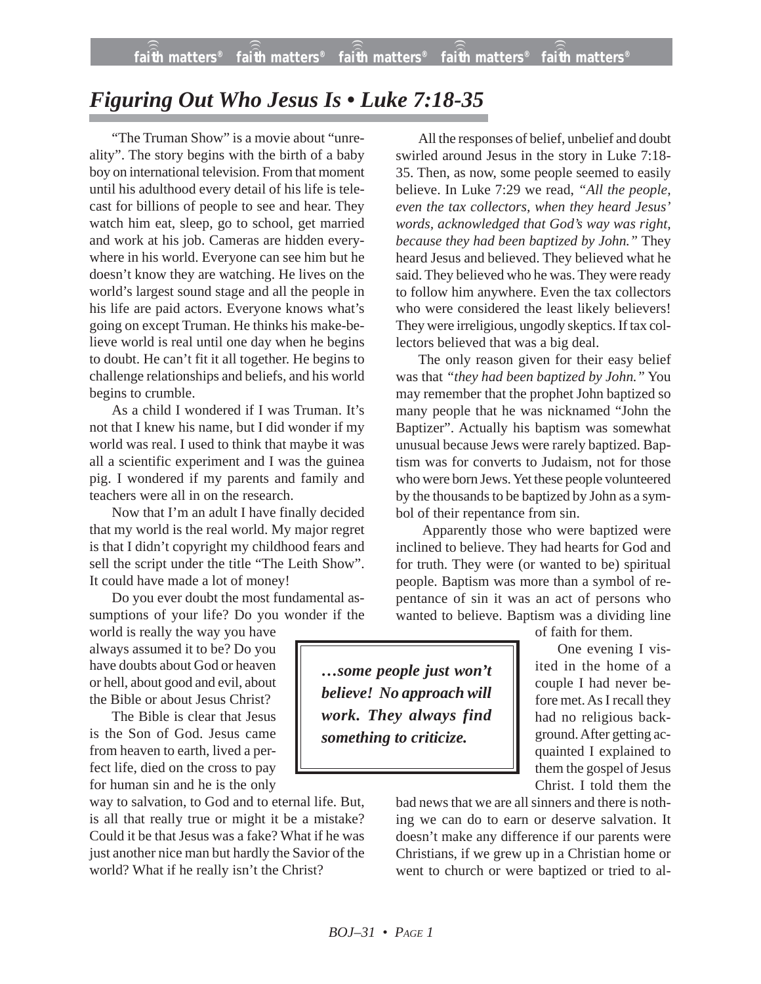## *Figuring Out Who Jesus Is • Luke 7:18-35*

"The Truman Show" is a movie about "unreality". The story begins with the birth of a baby boy on international television. From that moment until his adulthood every detail of his life is telecast for billions of people to see and hear. They watch him eat, sleep, go to school, get married and work at his job. Cameras are hidden everywhere in his world. Everyone can see him but he doesn't know they are watching. He lives on the world's largest sound stage and all the people in his life are paid actors. Everyone knows what's going on except Truman. He thinks his make-believe world is real until one day when he begins to doubt. He can't fit it all together. He begins to challenge relationships and beliefs, and his world begins to crumble.

As a child I wondered if I was Truman. It's not that I knew his name, but I did wonder if my world was real. I used to think that maybe it was all a scientific experiment and I was the guinea pig. I wondered if my parents and family and teachers were all in on the research.

Now that I'm an adult I have finally decided that my world is the real world. My major regret is that I didn't copyright my childhood fears and sell the script under the title "The Leith Show". It could have made a lot of money!

Do you ever doubt the most fundamental assumptions of your life? Do you wonder if the

world is really the way you have always assumed it to be? Do you have doubts about God or heaven or hell, about good and evil, about the Bible or about Jesus Christ?

The Bible is clear that Jesus is the Son of God. Jesus came from heaven to earth, lived a perfect life, died on the cross to pay for human sin and he is the only

way to salvation, to God and to eternal life. But, is all that really true or might it be a mistake? Could it be that Jesus was a fake? What if he was just another nice man but hardly the Savior of the world? What if he really isn't the Christ?

All the responses of belief, unbelief and doubt swirled around Jesus in the story in Luke 7:18- 35. Then, as now, some people seemed to easily believe. In Luke 7:29 we read, *"All the people, even the tax collectors, when they heard Jesus' words, acknowledged that God's way was right, because they had been baptized by John."* They heard Jesus and believed. They believed what he said. They believed who he was. They were ready to follow him anywhere. Even the tax collectors who were considered the least likely believers! They were irreligious, ungodly skeptics. If tax collectors believed that was a big deal.

The only reason given for their easy belief was that *"they had been baptized by John."* You may remember that the prophet John baptized so many people that he was nicknamed "John the Baptizer". Actually his baptism was somewhat unusual because Jews were rarely baptized. Baptism was for converts to Judaism, not for those who were born Jews. Yet these people volunteered by the thousands to be baptized by John as a symbol of their repentance from sin.

Apparently those who were baptized were inclined to believe. They had hearts for God and for truth. They were (or wanted to be) spiritual people. Baptism was more than a symbol of repentance of sin it was an act of persons who wanted to believe. Baptism was a dividing line

*…some people just won't believe! No approach will work. They always find something to criticize.*

of faith for them.

One evening I visited in the home of a couple I had never before met. As I recall they had no religious background. After getting acquainted I explained to them the gospel of Jesus Christ. I told them the

bad news that we are all sinners and there is nothing we can do to earn or deserve salvation. It doesn't make any difference if our parents were Christians, if we grew up in a Christian home or went to church or were baptized or tried to al-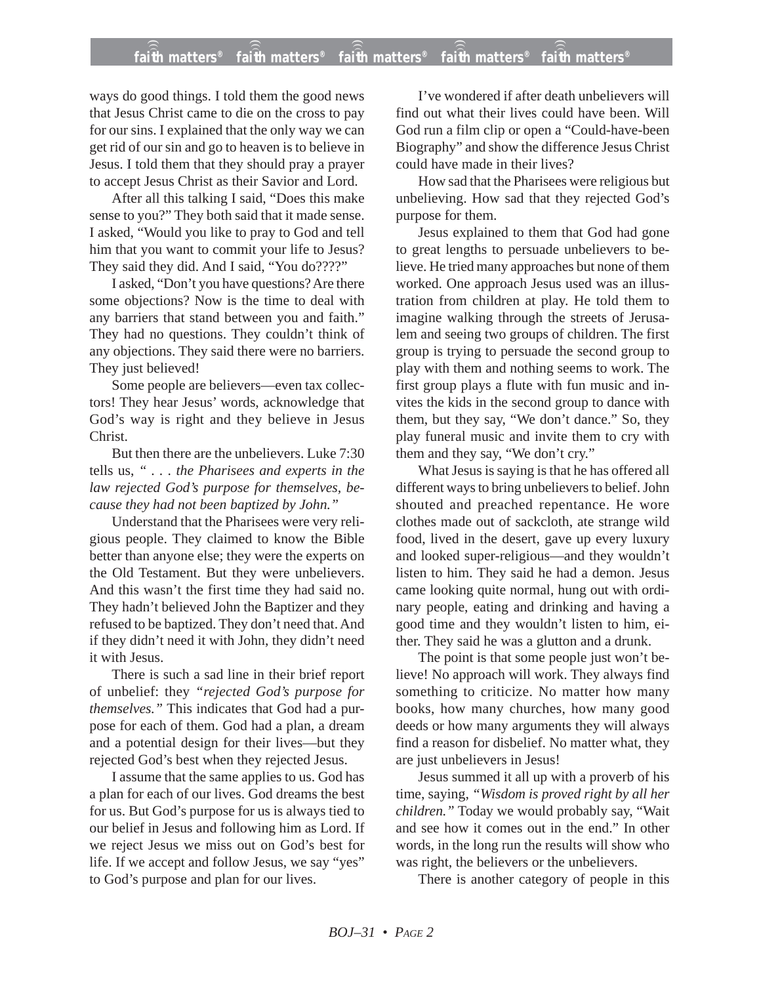## **faith matters® faith matters® faith matters® faith matters® faith matters®** ))) ))) ))) ))) )))

ways do good things. I told them the good news that Jesus Christ came to die on the cross to pay for our sins. I explained that the only way we can get rid of our sin and go to heaven is to believe in Jesus. I told them that they should pray a prayer to accept Jesus Christ as their Savior and Lord.

After all this talking I said, "Does this make sense to you?" They both said that it made sense. I asked, "Would you like to pray to God and tell him that you want to commit your life to Jesus? They said they did. And I said, "You do????"

I asked, "Don't you have questions? Are there some objections? Now is the time to deal with any barriers that stand between you and faith." They had no questions. They couldn't think of any objections. They said there were no barriers. They just believed!

Some people are believers—even tax collectors! They hear Jesus' words, acknowledge that God's way is right and they believe in Jesus Christ.

But then there are the unbelievers. Luke 7:30 tells us, *" . . . the Pharisees and experts in the law rejected God's purpose for themselves, because they had not been baptized by John."*

Understand that the Pharisees were very religious people. They claimed to know the Bible better than anyone else; they were the experts on the Old Testament. But they were unbelievers. And this wasn't the first time they had said no. They hadn't believed John the Baptizer and they refused to be baptized. They don't need that. And if they didn't need it with John, they didn't need it with Jesus.

There is such a sad line in their brief report of unbelief: they *"rejected God's purpose for themselves."* This indicates that God had a purpose for each of them. God had a plan, a dream and a potential design for their lives—but they rejected God's best when they rejected Jesus.

I assume that the same applies to us. God has a plan for each of our lives. God dreams the best for us. But God's purpose for us is always tied to our belief in Jesus and following him as Lord. If we reject Jesus we miss out on God's best for life. If we accept and follow Jesus, we say "yes" to God's purpose and plan for our lives.

I've wondered if after death unbelievers will find out what their lives could have been. Will God run a film clip or open a "Could-have-been Biography" and show the difference Jesus Christ could have made in their lives?

How sad that the Pharisees were religious but unbelieving. How sad that they rejected God's purpose for them.

Jesus explained to them that God had gone to great lengths to persuade unbelievers to believe. He tried many approaches but none of them worked. One approach Jesus used was an illustration from children at play. He told them to imagine walking through the streets of Jerusalem and seeing two groups of children. The first group is trying to persuade the second group to play with them and nothing seems to work. The first group plays a flute with fun music and invites the kids in the second group to dance with them, but they say, "We don't dance." So, they play funeral music and invite them to cry with them and they say, "We don't cry."

What Jesus is saying is that he has offered all different ways to bring unbelievers to belief. John shouted and preached repentance. He wore clothes made out of sackcloth, ate strange wild food, lived in the desert, gave up every luxury and looked super-religious—and they wouldn't listen to him. They said he had a demon. Jesus came looking quite normal, hung out with ordinary people, eating and drinking and having a good time and they wouldn't listen to him, either. They said he was a glutton and a drunk.

The point is that some people just won't believe! No approach will work. They always find something to criticize. No matter how many books, how many churches, how many good deeds or how many arguments they will always find a reason for disbelief. No matter what, they are just unbelievers in Jesus!

Jesus summed it all up with a proverb of his time, saying, *"Wisdom is proved right by all her children."* Today we would probably say, "Wait and see how it comes out in the end." In other words, in the long run the results will show who was right, the believers or the unbelievers.

There is another category of people in this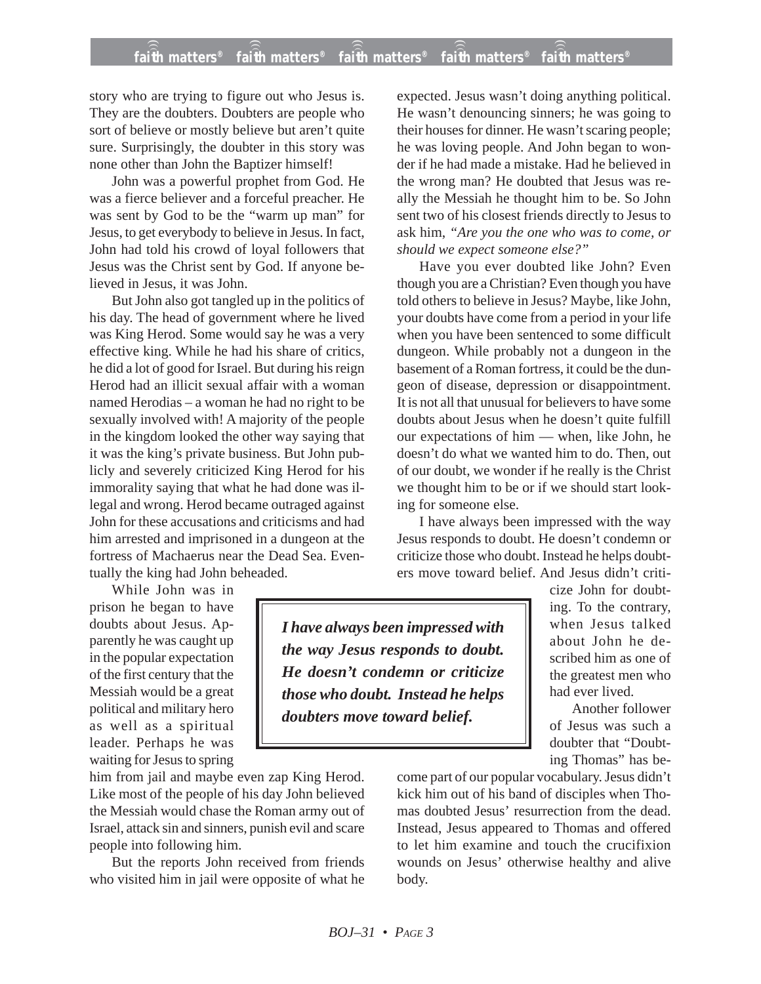story who are trying to figure out who Jesus is. They are the doubters. Doubters are people who sort of believe or mostly believe but aren't quite sure. Surprisingly, the doubter in this story was none other than John the Baptizer himself!

John was a powerful prophet from God. He was a fierce believer and a forceful preacher. He was sent by God to be the "warm up man" for Jesus, to get everybody to believe in Jesus. In fact, John had told his crowd of loyal followers that Jesus was the Christ sent by God. If anyone believed in Jesus, it was John.

But John also got tangled up in the politics of his day. The head of government where he lived was King Herod. Some would say he was a very effective king. While he had his share of critics, he did a lot of good for Israel. But during his reign Herod had an illicit sexual affair with a woman named Herodias – a woman he had no right to be sexually involved with! A majority of the people in the kingdom looked the other way saying that it was the king's private business. But John publicly and severely criticized King Herod for his immorality saying that what he had done was illegal and wrong. Herod became outraged against John for these accusations and criticisms and had him arrested and imprisoned in a dungeon at the fortress of Machaerus near the Dead Sea. Eventually the king had John beheaded.

While John was in prison he began to have doubts about Jesus. Apparently he was caught up in the popular expectation of the first century that the Messiah would be a great political and military hero as well as a spiritual leader. Perhaps he was waiting for Jesus to spring

him from jail and maybe even zap King Herod. Like most of the people of his day John believed the Messiah would chase the Roman army out of Israel, attack sin and sinners, punish evil and scare people into following him.

But the reports John received from friends who visited him in jail were opposite of what he expected. Jesus wasn't doing anything political. He wasn't denouncing sinners; he was going to their houses for dinner. He wasn't scaring people; he was loving people. And John began to wonder if he had made a mistake. Had he believed in the wrong man? He doubted that Jesus was really the Messiah he thought him to be. So John sent two of his closest friends directly to Jesus to ask him, *"Are you the one who was to come, or should we expect someone else?"*

Have you ever doubted like John? Even though you are a Christian? Even though you have told others to believe in Jesus? Maybe, like John, your doubts have come from a period in your life when you have been sentenced to some difficult dungeon. While probably not a dungeon in the basement of a Roman fortress, it could be the dungeon of disease, depression or disappointment. It is not all that unusual for believers to have some doubts about Jesus when he doesn't quite fulfill our expectations of him — when, like John, he doesn't do what we wanted him to do. Then, out of our doubt, we wonder if he really is the Christ we thought him to be or if we should start looking for someone else.

I have always been impressed with the way Jesus responds to doubt. He doesn't condemn or criticize those who doubt. Instead he helps doubters move toward belief. And Jesus didn't criti-

*I have always been impressed with the way Jesus responds to doubt. He doesn't condemn or criticize those who doubt. Instead he helps doubters move toward belief.*

cize John for doubting. To the contrary, when Jesus talked about John he described him as one of the greatest men who had ever lived.

Another follower of Jesus was such a doubter that "Doubting Thomas" has be-

come part of our popular vocabulary. Jesus didn't kick him out of his band of disciples when Thomas doubted Jesus' resurrection from the dead. Instead, Jesus appeared to Thomas and offered to let him examine and touch the crucifixion wounds on Jesus' otherwise healthy and alive body.